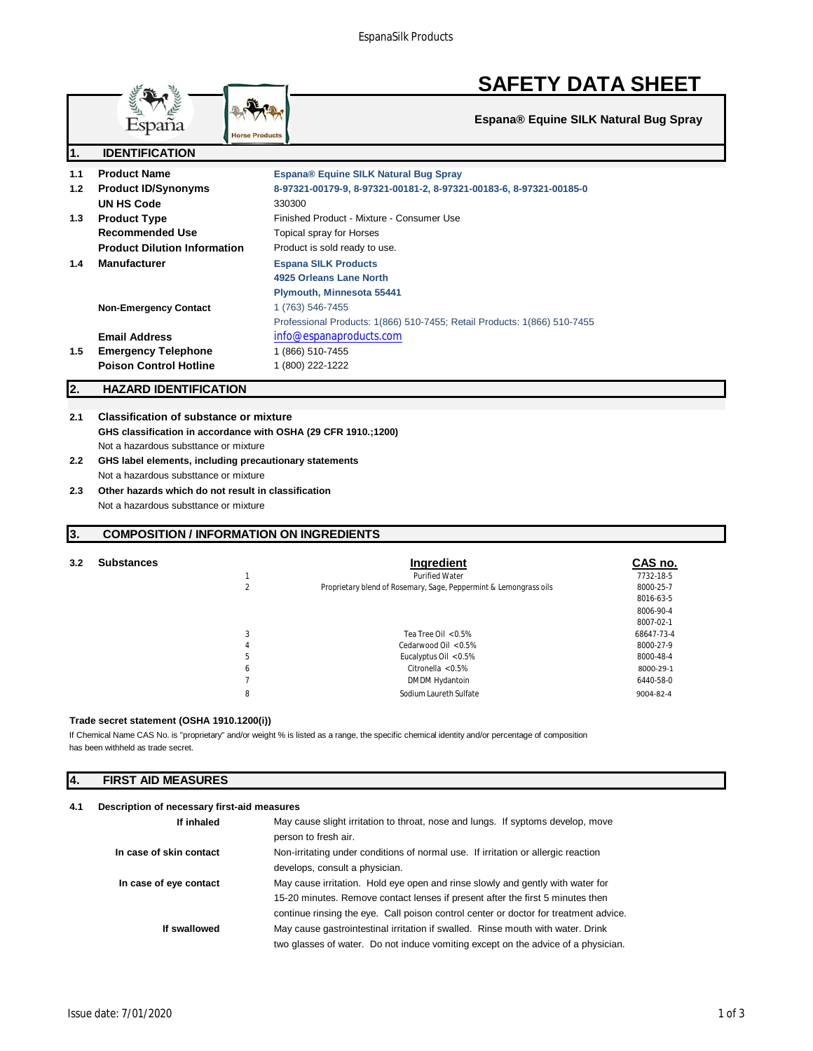# **SAFETY DATA SHEET**

**Espana® Equine SILK Natural Bug Spray**

|                  | <b>Horse Products</b>               |                                                                          |  |
|------------------|-------------------------------------|--------------------------------------------------------------------------|--|
| 1.               | <b>IDENTIFICATION</b>               |                                                                          |  |
| 1.1              | <b>Product Name</b>                 | Espana® Equine SILK Natural Bug Spray                                    |  |
| 1.2 <sub>2</sub> | <b>Product ID/Synonyms</b>          | 8-97321-00179-9, 8-97321-00181-2, 8-97321-00183-6, 8-97321-00185-0       |  |
|                  | UN HS Code                          | 330300                                                                   |  |
| 1.3              | <b>Product Type</b>                 | Finished Product - Mixture - Consumer Use                                |  |
|                  | <b>Recommended Use</b>              | Topical spray for Horses                                                 |  |
|                  | <b>Product Dilution Information</b> | Product is sold ready to use.                                            |  |
| 1.4              | <b>Manufacturer</b>                 | <b>Espana SILK Products</b>                                              |  |
|                  |                                     | 4925 Orleans Lane North                                                  |  |
|                  |                                     | Plymouth, Minnesota 55441                                                |  |
|                  | <b>Non-Emergency Contact</b>        | 1 (763) 546-7455                                                         |  |
|                  |                                     | Professional Products: 1(866) 510-7455; Retail Products: 1(866) 510-7455 |  |
|                  | <b>Email Address</b>                | info@espanaproducts.com                                                  |  |
| 1.5              | <b>Emergency Telephone</b>          | 1 (866) 510-7455                                                         |  |
|                  | <b>Poison Control Hotline</b>       | 1 (800) 222-1222                                                         |  |
|                  |                                     |                                                                          |  |

# **2. HAZARD IDENTIFICATION**

# **2.1 Classification of substance or mixture GHS classification in accordance with OSHA (29 CFR 1910.;1200)** Not a hazardous substtance or mixture

- **2.2 GHS label elements, including precautionary statements** Not a hazardous substtance or mixture
- **2.3 Other hazards which do not result in classification** Not a hazardous substtance or mixture

# **3. COMPOSITION / INFORMATION ON INGREDIENTS**

| 3.2 | <b>Substances</b> |              | Ingredient                                                        | CAS no.    |
|-----|-------------------|--------------|-------------------------------------------------------------------|------------|
|     |                   |              | <b>Purified Water</b>                                             | 7732-18-5  |
|     |                   |              | Proprietary blend of Rosemary, Sage, Peppermint & Lemongrass oils | 8000-25-7  |
|     |                   |              |                                                                   | 8016-63-5  |
|     |                   |              |                                                                   | 8006-90-4  |
|     |                   |              |                                                                   | 8007-02-1  |
|     |                   |              | Tea Tree Oil $< 0.5\%$                                            | 68647-73-4 |
|     |                   | 4            | Cedarwood Oil < 0.5%                                              | 8000-27-9  |
|     |                   | b.           | Eucalyptus Oil $< 0.5\%$                                          | 8000-48-4  |
|     |                   | <sub>b</sub> | Citronella $< 0.5\%$                                              | 8000-29-1  |
|     |                   |              | DMDM Hydantoin                                                    | 6440-58-0  |
|     |                   | 8            | Sodium Laureth Sulfate                                            | 9004-82-4  |
|     |                   |              |                                                                   |            |

# **Trade secret statement (OSHA 1910.1200(i))**

has been withheld as trade secret. If Chemical Name CAS No. is "proprietary" and/or weight % is listed as a range, the specific chemical identity and/or percentage of composition

# **4. FIRST AID MEASURES**

# **4.1 Description of necessary first-aid measures**

| If inhaled              | May cause slight irritation to throat, nose and lungs. If syptoms develop, move<br>person to fresh air. |
|-------------------------|---------------------------------------------------------------------------------------------------------|
|                         |                                                                                                         |
| In case of skin contact | Non-irritating under conditions of normal use. If irritation or allergic reaction                       |
|                         | develops, consult a physician.                                                                          |
| In case of eye contact  | May cause irritation. Hold eye open and rinse slowly and gently with water for                          |
|                         | 15-20 minutes. Remove contact lenses if present after the first 5 minutes then                          |
|                         | continue rinsing the eye. Call poison control center or doctor for treatment advice.                    |
| If swallowed            | May cause gastrointestinal irritation if swalled. Rinse mouth with water. Drink                         |
|                         | two glasses of water. Do not induce vomiting except on the advice of a physician.                       |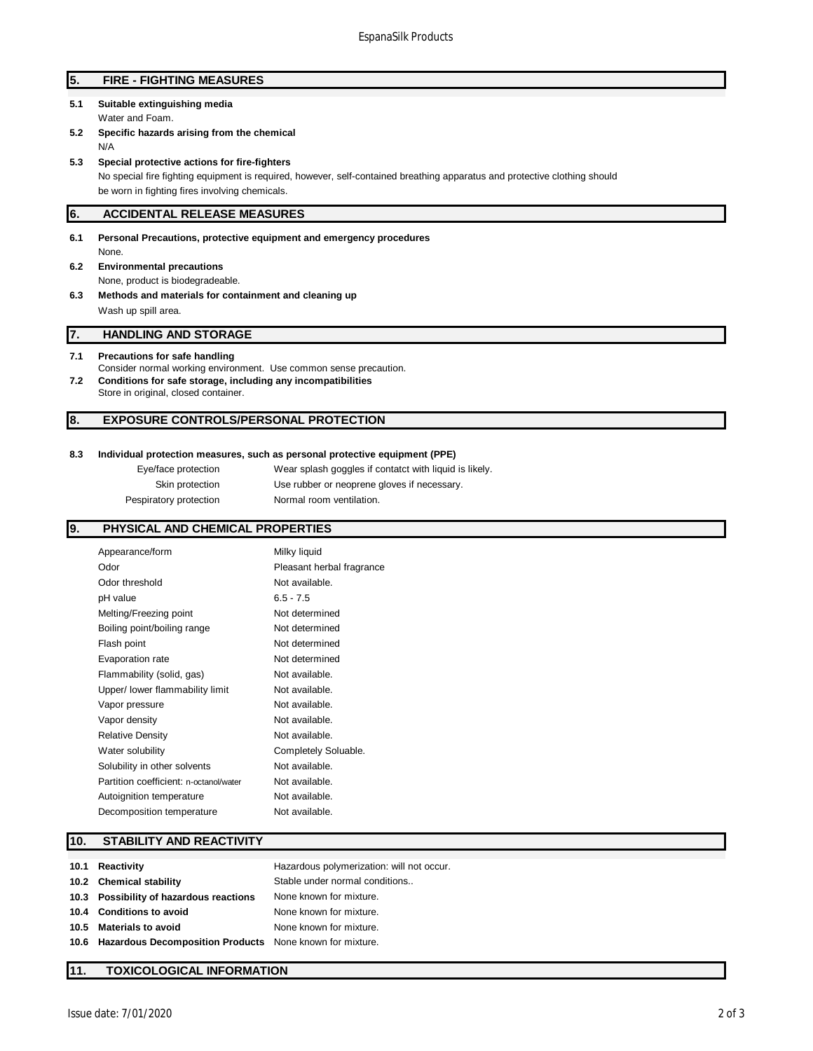# **5. FIRE - FIGHTING MEASURES**

- **5.1 Suitable extinguishing media** Water and Foam.
- **5.2 Specific hazards arising from the chemical** N/A
- **5.3 Special protective actions for fire-fighters**

No special fire fighting equipment is required, however, self-contained breathing apparatus and protective clothing should be worn in fighting fires involving chemicals.

# **6. ACCIDENTAL RELEASE MEASURES**

**6.1 Personal Precautions, protective equipment and emergency procedures** None.

- **6.2 Environmental precautions** None, product is biodegradeable.
- **6.3 Methods and materials for containment and cleaning up** Wash up spill area.

# **7. HANDLING AND STORAGE**

#### **7.1 Precautions for safe handling**

- Consider normal working environment. Use common sense precaution. **7.2 Conditions for safe storage, including any incompatibilities**
	- Store in original, closed container.

#### **8. EXPOSURE CONTROLS/PERSONAL PROTECTION**

#### **8.3 Individual protection measures, such as personal protective equipment (PPE)**

| Eye/face protection    | Wear splash goggles if contatct with liquid is likely. |
|------------------------|--------------------------------------------------------|
| Skin protection        | Use rubber or neoprene gloves if necessary.            |
| Pespiratory protection | Normal room ventilation.                               |

# **9. PHYSICAL AND CHEMICAL PROPERTIES**

| Appearance/form                        | Milky liquid              |
|----------------------------------------|---------------------------|
| Odor                                   | Pleasant herbal fragrance |
| Odor threshold                         | Not available.            |
| pH value                               | $6.5 - 7.5$               |
| Melting/Freezing point                 | Not determined            |
| Boiling point/boiling range            | Not determined            |
| Flash point                            | Not determined            |
| Evaporation rate                       | Not determined            |
| Flammability (solid, gas)              | Not available.            |
| Upper/ lower flammability limit        | Not available.            |
| Vapor pressure                         | Not available.            |
| Vapor density                          | Not available.            |
| <b>Relative Density</b>                | Not available.            |
| Water solubility                       | Completely Soluable.      |
| Solubility in other solvents           | Not available.            |
| Partition coefficient: n-octanol/water | Not available.            |
| Autoignition temperature               | Not available.            |
| Decomposition temperature              | Not available.            |
|                                        |                           |

## **10. STABILITY AND REACTIVITY**

| 10.1 | Reactivity                                                    | Hazardous polymerization: will not occur. |
|------|---------------------------------------------------------------|-------------------------------------------|
|      | 10.2 Chemical stability                                       | Stable under normal conditions            |
|      | 10.3 Possibility of hazardous reactions                       | None known for mixture.                   |
|      | 10.4 Conditions to avoid                                      | None known for mixture.                   |
| 10.5 | <b>Materials to avoid</b>                                     | None known for mixture.                   |
|      | 10.6 Hazardous Decomposition Products None known for mixture. |                                           |

#### **11. TOXICOLOGICAL INFORMATION**